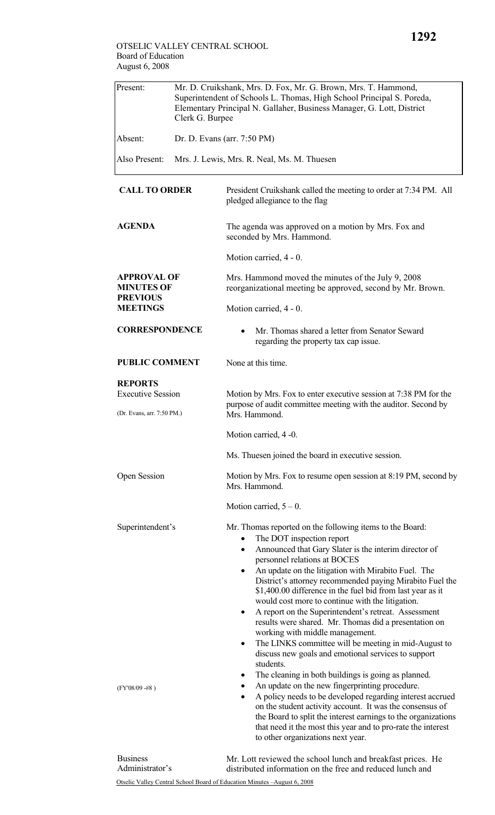| Present:                                                                      | Mr. D. Cruikshank, Mrs. D. Fox, Mr. G. Brown, Mrs. T. Hammond,<br>Superintendent of Schools L. Thomas, High School Principal S. Poreda,<br>Elementary Principal N. Gallaher, Business Manager, G. Lott, District<br>Clerk G. Burpee |                                                                                                                                                                                                                                                                                                                                                                                                                                                                                                                                                                                                                                                                                                                                                                                                                                                            |  |
|-------------------------------------------------------------------------------|-------------------------------------------------------------------------------------------------------------------------------------------------------------------------------------------------------------------------------------|------------------------------------------------------------------------------------------------------------------------------------------------------------------------------------------------------------------------------------------------------------------------------------------------------------------------------------------------------------------------------------------------------------------------------------------------------------------------------------------------------------------------------------------------------------------------------------------------------------------------------------------------------------------------------------------------------------------------------------------------------------------------------------------------------------------------------------------------------------|--|
| Absent:                                                                       |                                                                                                                                                                                                                                     | Dr. D. Evans (arr. 7:50 PM)                                                                                                                                                                                                                                                                                                                                                                                                                                                                                                                                                                                                                                                                                                                                                                                                                                |  |
| Also Present:                                                                 | Mrs. J. Lewis, Mrs. R. Neal, Ms. M. Thuesen                                                                                                                                                                                         |                                                                                                                                                                                                                                                                                                                                                                                                                                                                                                                                                                                                                                                                                                                                                                                                                                                            |  |
| <b>CALL TO ORDER</b>                                                          |                                                                                                                                                                                                                                     | President Cruikshank called the meeting to order at 7:34 PM. All<br>pledged allegiance to the flag                                                                                                                                                                                                                                                                                                                                                                                                                                                                                                                                                                                                                                                                                                                                                         |  |
| <b>AGENDA</b>                                                                 |                                                                                                                                                                                                                                     | The agenda was approved on a motion by Mrs. Fox and<br>seconded by Mrs. Hammond.                                                                                                                                                                                                                                                                                                                                                                                                                                                                                                                                                                                                                                                                                                                                                                           |  |
|                                                                               |                                                                                                                                                                                                                                     | Motion carried, 4 - 0.                                                                                                                                                                                                                                                                                                                                                                                                                                                                                                                                                                                                                                                                                                                                                                                                                                     |  |
| <b>APPROVAL OF</b><br><b>MINUTES OF</b><br><b>PREVIOUS</b><br><b>MEETINGS</b> |                                                                                                                                                                                                                                     | Mrs. Hammond moved the minutes of the July 9, 2008<br>reorganizational meeting be approved, second by Mr. Brown.                                                                                                                                                                                                                                                                                                                                                                                                                                                                                                                                                                                                                                                                                                                                           |  |
|                                                                               |                                                                                                                                                                                                                                     | Motion carried, 4 - 0.                                                                                                                                                                                                                                                                                                                                                                                                                                                                                                                                                                                                                                                                                                                                                                                                                                     |  |
| <b>CORRESPONDENCE</b>                                                         |                                                                                                                                                                                                                                     | Mr. Thomas shared a letter from Senator Seward<br>regarding the property tax cap issue.                                                                                                                                                                                                                                                                                                                                                                                                                                                                                                                                                                                                                                                                                                                                                                    |  |
| <b>PUBLIC COMMENT</b>                                                         |                                                                                                                                                                                                                                     | None at this time.                                                                                                                                                                                                                                                                                                                                                                                                                                                                                                                                                                                                                                                                                                                                                                                                                                         |  |
| <b>REPORTS</b>                                                                |                                                                                                                                                                                                                                     |                                                                                                                                                                                                                                                                                                                                                                                                                                                                                                                                                                                                                                                                                                                                                                                                                                                            |  |
| <b>Executive Session</b><br>(Dr. Evans, arr. 7:50 PM.)                        |                                                                                                                                                                                                                                     | Motion by Mrs. Fox to enter executive session at 7:38 PM for the<br>purpose of audit committee meeting with the auditor. Second by<br>Mrs. Hammond.                                                                                                                                                                                                                                                                                                                                                                                                                                                                                                                                                                                                                                                                                                        |  |
|                                                                               |                                                                                                                                                                                                                                     | Motion carried, 4 -0.                                                                                                                                                                                                                                                                                                                                                                                                                                                                                                                                                                                                                                                                                                                                                                                                                                      |  |
|                                                                               |                                                                                                                                                                                                                                     | Ms. Thuesen joined the board in executive session.                                                                                                                                                                                                                                                                                                                                                                                                                                                                                                                                                                                                                                                                                                                                                                                                         |  |
| Open Session                                                                  |                                                                                                                                                                                                                                     | Motion by Mrs. Fox to resume open session at 8:19 PM, second by<br>Mrs. Hammond.                                                                                                                                                                                                                                                                                                                                                                                                                                                                                                                                                                                                                                                                                                                                                                           |  |
|                                                                               |                                                                                                                                                                                                                                     | Motion carried, $5 - 0$ .                                                                                                                                                                                                                                                                                                                                                                                                                                                                                                                                                                                                                                                                                                                                                                                                                                  |  |
| Superintendent's<br>$(FY'08/09 - #8)$                                         |                                                                                                                                                                                                                                     | Mr. Thomas reported on the following items to the Board:<br>The DOT inspection report<br>$\bullet$<br>Announced that Gary Slater is the interim director of<br>$\bullet$<br>personnel relations at BOCES<br>An update on the litigation with Mirabito Fuel. The<br>٠<br>District's attorney recommended paying Mirabito Fuel the<br>\$1,400.00 difference in the fuel bid from last year as it<br>would cost more to continue with the litigation.<br>A report on the Superintendent's retreat. Assessment<br>٠<br>results were shared. Mr. Thomas did a presentation on<br>working with middle management.<br>The LINKS committee will be meeting in mid-August to<br>٠<br>discuss new goals and emotional services to support<br>students.<br>The cleaning in both buildings is going as planned.<br>٠<br>An update on the new fingerprinting procedure. |  |
|                                                                               |                                                                                                                                                                                                                                     | A policy needs to be developed regarding interest accrued<br>٠<br>on the student activity account. It was the consensus of<br>the Board to split the interest earnings to the organizations<br>that need it the most this year and to pro-rate the interest<br>to other organizations next year.                                                                                                                                                                                                                                                                                                                                                                                                                                                                                                                                                           |  |

Otselic Valley Central School Board of Education Minutes –August 6, 2008 Business Administrator's Mr. Lott reviewed the school lunch and breakfast prices. He distributed information on the free and reduced lunch and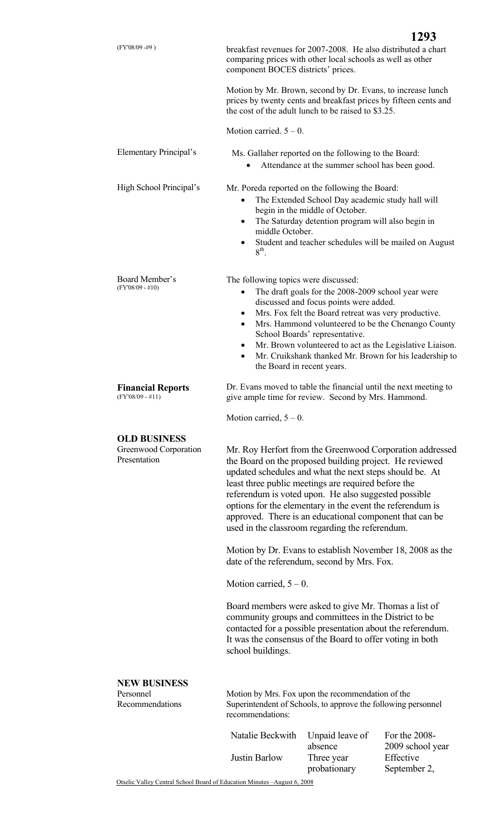|                                                                                                                                                                                               |                                                                                                                                                                                                                                                                                                                                                                                                                                                                                                                                       |                                                                                                                                                                                             | 1293                                                                                                                                                                     |
|-----------------------------------------------------------------------------------------------------------------------------------------------------------------------------------------------|---------------------------------------------------------------------------------------------------------------------------------------------------------------------------------------------------------------------------------------------------------------------------------------------------------------------------------------------------------------------------------------------------------------------------------------------------------------------------------------------------------------------------------------|---------------------------------------------------------------------------------------------------------------------------------------------------------------------------------------------|--------------------------------------------------------------------------------------------------------------------------------------------------------------------------|
| $(FY'08/09 - #9)$                                                                                                                                                                             | component BOCES districts' prices.                                                                                                                                                                                                                                                                                                                                                                                                                                                                                                    | breakfast revenues for 2007-2008. He also distributed a chart<br>comparing prices with other local schools as well as other                                                                 |                                                                                                                                                                          |
|                                                                                                                                                                                               |                                                                                                                                                                                                                                                                                                                                                                                                                                                                                                                                       | Motion by Mr. Brown, second by Dr. Evans, to increase lunch<br>prices by twenty cents and breakfast prices by fifteen cents and<br>the cost of the adult lunch to be raised to \$3.25.      |                                                                                                                                                                          |
|                                                                                                                                                                                               | Motion carried. $5 - 0$ .                                                                                                                                                                                                                                                                                                                                                                                                                                                                                                             |                                                                                                                                                                                             |                                                                                                                                                                          |
| Elementary Principal's                                                                                                                                                                        |                                                                                                                                                                                                                                                                                                                                                                                                                                                                                                                                       | Ms. Gallaher reported on the following to the Board:<br>Attendance at the summer school has been good.                                                                                      |                                                                                                                                                                          |
| High School Principal's                                                                                                                                                                       | ٠<br>middle October.<br>$8th$ .                                                                                                                                                                                                                                                                                                                                                                                                                                                                                                       | Mr. Poreda reported on the following the Board:<br>The Extended School Day academic study hall will<br>begin in the middle of October.<br>The Saturday detention program will also begin in | Student and teacher schedules will be mailed on August                                                                                                                   |
| Board Member's<br>$(FY'08/09 - #10)$                                                                                                                                                          | The following topics were discussed:<br>$\bullet$<br>$\bullet$<br>$\bullet$<br>٠<br>$\bullet$<br>the Board in recent years.                                                                                                                                                                                                                                                                                                                                                                                                           | The draft goals for the 2008-2009 school year were<br>discussed and focus points were added.<br>Mrs. Fox felt the Board retreat was very productive.<br>School Boards' representative.      | Mrs. Hammond volunteered to be the Chenango County<br>Mr. Brown volunteered to act as the Legislative Liaison.<br>Mr. Cruikshank thanked Mr. Brown for his leadership to |
| <b>Financial Reports</b><br>$(FY'08/09 - #11)$                                                                                                                                                | Dr. Evans moved to table the financial until the next meeting to<br>give ample time for review. Second by Mrs. Hammond.                                                                                                                                                                                                                                                                                                                                                                                                               |                                                                                                                                                                                             |                                                                                                                                                                          |
|                                                                                                                                                                                               | Motion carried, $5 - 0$ .                                                                                                                                                                                                                                                                                                                                                                                                                                                                                                             |                                                                                                                                                                                             |                                                                                                                                                                          |
| <b>OLD BUSINESS</b><br>Greenwood Corporation<br>Presentation                                                                                                                                  | Mr. Roy Herfort from the Greenwood Corporation addressed<br>the Board on the proposed building project. He reviewed<br>updated schedules and what the next steps should be. At<br>least three public meetings are required before the<br>referendum is voted upon. He also suggested possible<br>options for the elementary in the event the referendum is<br>approved. There is an educational component that can be<br>used in the classroom regarding the referendum.<br>Motion by Dr. Evans to establish November 18, 2008 as the |                                                                                                                                                                                             |                                                                                                                                                                          |
|                                                                                                                                                                                               |                                                                                                                                                                                                                                                                                                                                                                                                                                                                                                                                       | date of the referendum, second by Mrs. Fox.                                                                                                                                                 |                                                                                                                                                                          |
|                                                                                                                                                                                               | Motion carried, $5 - 0$ .                                                                                                                                                                                                                                                                                                                                                                                                                                                                                                             |                                                                                                                                                                                             |                                                                                                                                                                          |
|                                                                                                                                                                                               | Board members were asked to give Mr. Thomas a list of<br>community groups and committees in the District to be<br>contacted for a possible presentation about the referendum.<br>It was the consensus of the Board to offer voting in both<br>school buildings.                                                                                                                                                                                                                                                                       |                                                                                                                                                                                             |                                                                                                                                                                          |
| <b>NEW BUSINESS</b><br>Personnel<br>Motion by Mrs. Fox upon the recommendation of the<br>Recommendations<br>Superintendent of Schools, to approve the following personnel<br>recommendations: |                                                                                                                                                                                                                                                                                                                                                                                                                                                                                                                                       |                                                                                                                                                                                             |                                                                                                                                                                          |
|                                                                                                                                                                                               | Natalie Beckwith<br>Justin Barlow                                                                                                                                                                                                                                                                                                                                                                                                                                                                                                     | Unpaid leave of<br>absence<br>Three year                                                                                                                                                    | For the 2008-<br>2009 school year<br>Effective                                                                                                                           |

Otselic Valley Central School Board of Education Minutes –August 6, 2008 probationary September 2,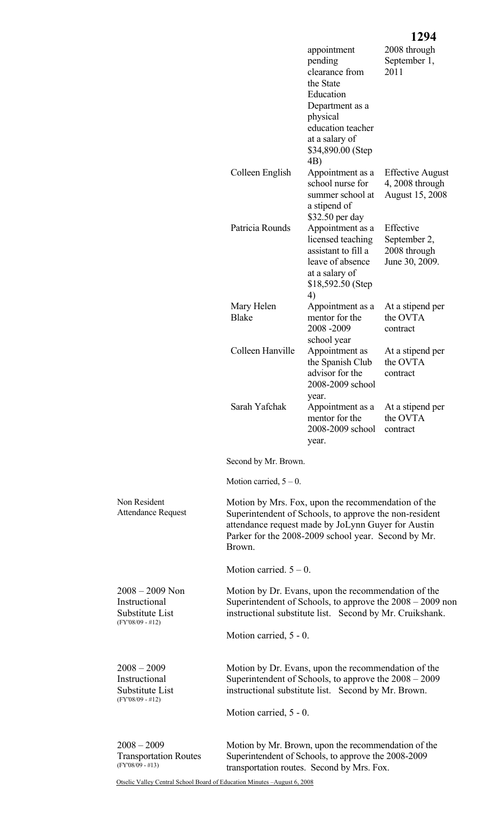|                                                                         |                                                                                                                                                                                                                                     |                                                                                                                                                          | 1494                                                                  |  |
|-------------------------------------------------------------------------|-------------------------------------------------------------------------------------------------------------------------------------------------------------------------------------------------------------------------------------|----------------------------------------------------------------------------------------------------------------------------------------------------------|-----------------------------------------------------------------------|--|
|                                                                         |                                                                                                                                                                                                                                     | appointment<br>pending<br>clearance from<br>the State                                                                                                    | 2008 through<br>September 1,<br>2011                                  |  |
|                                                                         |                                                                                                                                                                                                                                     | Education<br>Department as a<br>physical                                                                                                                 |                                                                       |  |
|                                                                         |                                                                                                                                                                                                                                     | education teacher<br>at a salary of<br>\$34,890.00 (Step)                                                                                                |                                                                       |  |
|                                                                         | Colleen English                                                                                                                                                                                                                     | 4B)<br>Appointment as a<br>school nurse for<br>summer school at                                                                                          | <b>Effective August</b><br>$4,2008$ through<br><b>August 15, 2008</b> |  |
|                                                                         |                                                                                                                                                                                                                                     | a stipend of<br>\$32.50 per day                                                                                                                          |                                                                       |  |
|                                                                         | Patricia Rounds                                                                                                                                                                                                                     | Appointment as a<br>licensed teaching<br>assistant to fill a<br>leave of absence<br>at a salary of<br>\$18,592.50 (Step)<br>4)                           | Effective<br>September 2,<br>2008 through<br>June 30, 2009.           |  |
|                                                                         | Mary Helen<br><b>Blake</b>                                                                                                                                                                                                          | Appointment as a<br>mentor for the<br>2008-2009<br>school year                                                                                           | At a stipend per<br>the OVTA<br>contract                              |  |
|                                                                         | Colleen Hanville                                                                                                                                                                                                                    | Appointment as<br>the Spanish Club<br>advisor for the<br>2008-2009 school<br>year.                                                                       | At a stipend per<br>the OVTA<br>contract                              |  |
|                                                                         | Sarah Yafchak                                                                                                                                                                                                                       | Appointment as a<br>mentor for the<br>2008-2009 school<br>year.                                                                                          | At a stipend per<br>the OVTA<br>contract                              |  |
|                                                                         | Second by Mr. Brown.                                                                                                                                                                                                                |                                                                                                                                                          |                                                                       |  |
|                                                                         | Motion carried, $5 - 0$ .                                                                                                                                                                                                           |                                                                                                                                                          |                                                                       |  |
| Non Resident<br><b>Attendance Request</b>                               | Motion by Mrs. Fox, upon the recommendation of the<br>Superintendent of Schools, to approve the non-resident<br>attendance request made by JoLynn Guyer for Austin<br>Parker for the 2008-2009 school year. Second by Mr.<br>Brown. |                                                                                                                                                          |                                                                       |  |
|                                                                         | Motion carried. $5 - 0$ .                                                                                                                                                                                                           |                                                                                                                                                          |                                                                       |  |
| $2008 - 2009$ Non<br>Instructional<br>Substitute List                   | Motion by Dr. Evans, upon the recommendation of the<br>Superintendent of Schools, to approve the $2008 - 2009$ non<br>instructional substitute list. Second by Mr. Cruikshank.                                                      |                                                                                                                                                          |                                                                       |  |
| $(FY'08/09 - #12)$                                                      | Motion carried, 5 - 0.                                                                                                                                                                                                              |                                                                                                                                                          |                                                                       |  |
| $2008 - 2009$<br>Instructional<br>Substitute List<br>$(FY'08/09 - #12)$ | Motion by Dr. Evans, upon the recommendation of the<br>Superintendent of Schools, to approve the $2008 - 2009$<br>instructional substitute list. Second by Mr. Brown.                                                               |                                                                                                                                                          |                                                                       |  |
|                                                                         | Motion carried, 5 - 0.                                                                                                                                                                                                              |                                                                                                                                                          |                                                                       |  |
| $2008 - 2009$<br><b>Transportation Routes</b><br>$(FY'08/09 - #13)$     |                                                                                                                                                                                                                                     | Motion by Mr. Brown, upon the recommendation of the<br>Superintendent of Schools, to approve the 2008-2009<br>transportation routes. Second by Mrs. Fox. |                                                                       |  |

Otselic Valley Central School Board of Education Minutes –August 6, 2008

## **1294**